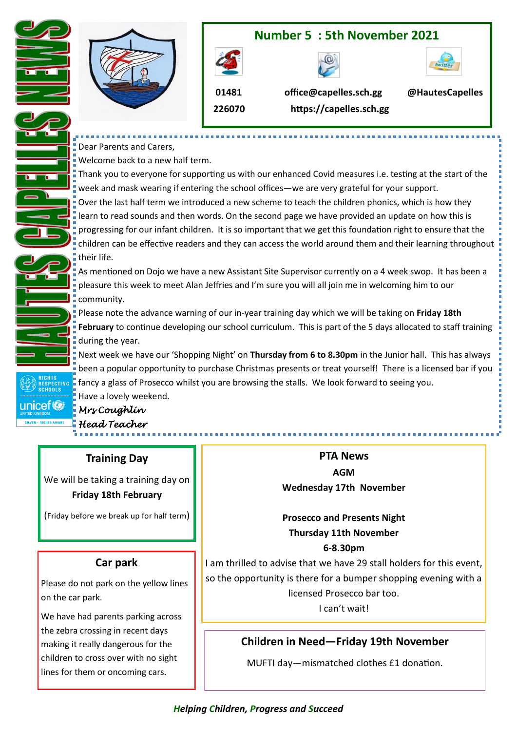

Dear Parents and Carers,

Welcome back to a new half term.

Thank you to everyone for supporting us with our enhanced Covid measures i.e. testing at the start of the week and mask wearing if entering the school offices—we are very grateful for your support. Over the last half term we introduced a new scheme to teach the children phonics, which is how they learn to read sounds and then words. On the second page we have provided an update on how this is progressing for our infant children. It is so important that we get this foundation right to ensure that the children can be effective readers and they can access the world around them and their learning throughout their life.

As mentioned on Dojo we have a new Assistant Site Supervisor currently on a 4 week swop. It has been a **p** pleasure this week to meet Alan Jeffries and I'm sure you will all join me in welcoming him to our community.

Please note the advance warning of our in-year training day which we will be taking on **Friday 18th February** to continue developing our school curriculum. This is part of the 5 days allocated to staff training during the year.

Next week we have our 'Shopping Night' on **Thursday from 6 to 8.30pm** in the Junior hall. This has always been a popular opportunity to purchase Christmas presents or treat yourself! There is a licensed bar if you **F** fancy a glass of Prosecco whilst you are browsing the stalls. We look forward to seeing you. Have a lovely weekend.

unicef<sup>®</sup>

T.

*Mrs Coughlin Head Teacher* 

### **Training Day**

We will be taking a training day on **Friday 18th February**

(Friday before we break up for half term)

### **Car park**

Please do not park on the yellow lines on the car park.

We have had parents parking across the zebra crossing in recent days making it really dangerous for the children to cross over with no sight lines for them or oncoming cars.

**PTA News AGM Wednesday 17th November**

### **Prosecco and Presents Night Thursday 11th November 6-8.30pm**

I am thrilled to advise that we have 29 stall holders for this event, so the opportunity is there for a bumper shopping evening with a licensed Prosecco bar too. I can't wait!

# **Children in Need—Friday 19th November**

MUFTI day—mismatched clothes £1 donation.